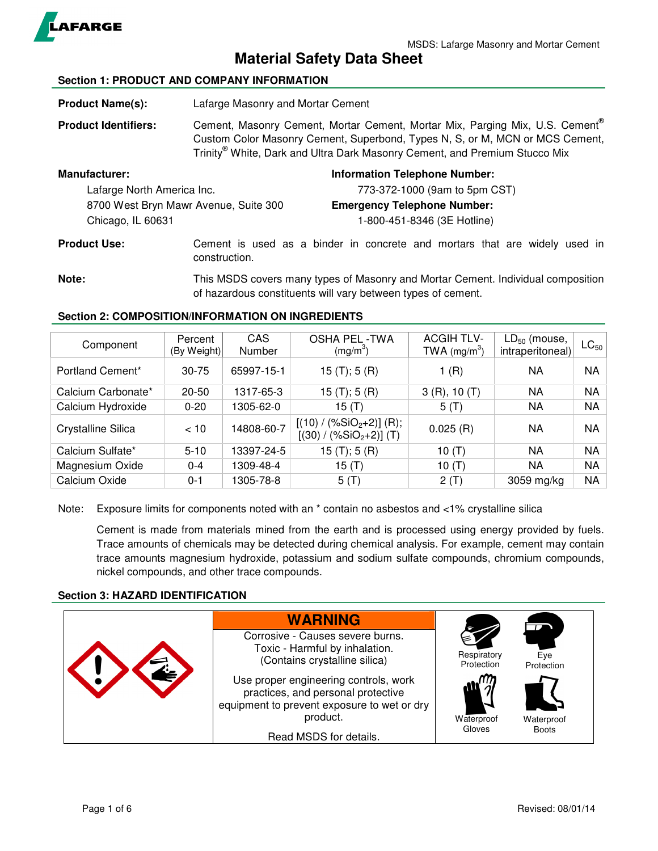

**Material Safety Data Sheet** 

## **Section 1: PRODUCT AND COMPANY INFORMATION**

- **Product Name(s):** Lafarge Masonry and Mortar Cement
- **Product Identifiers:** Cement, Masonry Cement, Mortar Cement, Mortar Mix, Parging Mix, U.S. Cement® Custom Color Masonry Cement, Superbond, Types N, S, or M, MCN or MCS Cement, Trinity® White, Dark and Ultra Dark Masonry Cement, and Premium Stucco Mix

| <b>Manufacturer:</b>                  | <b>Information Telephone Number:</b> |
|---------------------------------------|--------------------------------------|
| Lafarge North America Inc.            | 773-372-1000 (9am to 5pm CST)        |
| 8700 West Bryn Mawr Avenue, Suite 300 | <b>Emergency Telephone Number:</b>   |
| Chicago, IL 60631                     | 1-800-451-8346 (3E Hotline)          |
|                                       |                                      |

**Product Use:** Cement is used as a binder in concrete and mortars that are widely used in construction.

**Note:** This MSDS covers many types of Masonry and Mortar Cement. Individual composition of hazardous constituents will vary between types of cement.

# **Section 2: COMPOSITION/INFORMATION ON INGREDIENTS**

| Component          | Percent<br>(By Weight) | CAS<br><b>Number</b> | <b>OSHA PEL-TWA</b><br>(mg/m <sup>3</sup> )             | <b>ACGIH TLV-</b><br>TWA $(mg/m^3)$ | $LD_{50}$ (mouse,<br>intraperitoneal) | $LC_{50}$ |
|--------------------|------------------------|----------------------|---------------------------------------------------------|-------------------------------------|---------------------------------------|-----------|
| Portland Cement*   | $30 - 75$              | 65997-15-1           | 15 (T); 5 (R)                                           | 1(R)                                | ΝA                                    | <b>NA</b> |
| Calcium Carbonate* | $20 - 50$              | 1317-65-3            | 15(T); 5(R)                                             | 3(R), 10(T)                         | NA                                    | <b>NA</b> |
| Calcium Hydroxide  | $0 - 20$               | 1305-62-0            | 15 (T)                                                  | $5($ T)                             | NA                                    | ΝA        |
| Crystalline Silica | < 10                   | 14808-60-7           | $[(10) / (\%SiO2+2)]$ (R);<br>$[(30) / (\%SiO2+2)]$ (T) | 0.025(R)                            | NA                                    | ΝA        |
| Calcium Sulfate*   | $5 - 10$               | 13397-24-5           | 15 (T); 5 (R)                                           | 10 $(T)$                            | NA                                    | ΝA        |
| Magnesium Oxide    | $0 - 4$                | 1309-48-4            | 15 (T)                                                  | 10 $(T)$                            | NA                                    | <b>NA</b> |
| Calcium Oxide      | $0 - 1$                | 1305-78-8            | 5(T)                                                    | 2(T)                                | 3059 mg/kg                            | ΝA        |

Note: Exposure limits for components noted with an  $*$  contain no asbestos and <1% crystalline silica

Cement is made from materials mined from the earth and is processed using energy provided by fuels. Trace amounts of chemicals may be detected during chemical analysis. For example, cement may contain trace amounts magnesium hydroxide, potassium and sodium sulfate compounds, chromium compounds, nickel compounds, and other trace compounds.

## **Section 3: HAZARD IDENTIFICATION**

| <b>WARNING</b>                                                                                                                         |                                         |                   |
|----------------------------------------------------------------------------------------------------------------------------------------|-----------------------------------------|-------------------|
| Corrosive - Causes severe burns.<br>Toxic - Harmful by inhalation.<br>(Contains crystalline silica)                                    | Respiratory<br>Protection               | Eve<br>Protection |
| Use proper engineering controls, work<br>practices, and personal protective<br>equipment to prevent exposure to wet or dry<br>product. | $\mathbf{w}^{\mathbf{m}}$<br>Waterproof | Waterproof        |
| Read MSDS for details.                                                                                                                 | Gloves                                  | <b>Boots</b>      |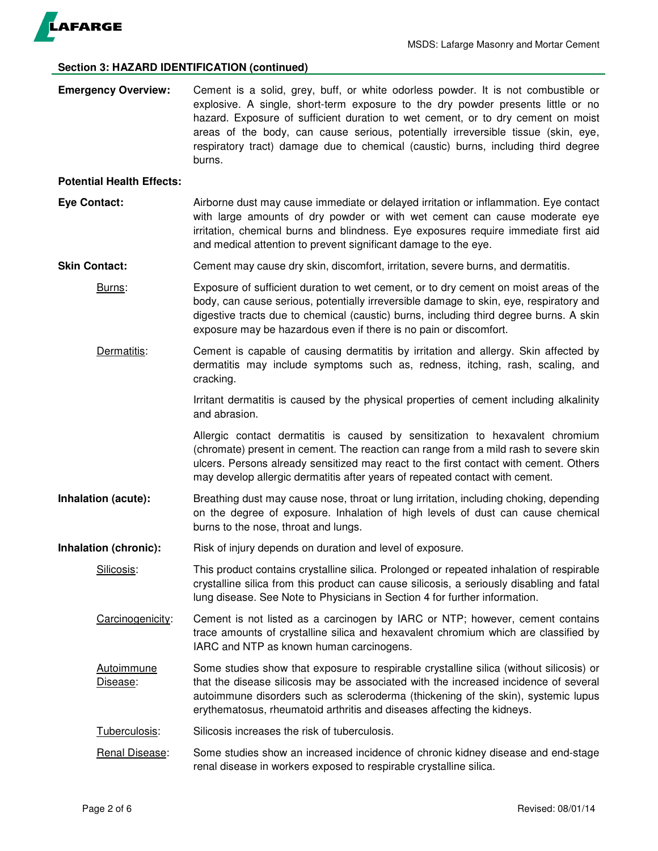

### **Section 3: HAZARD IDENTIFICATION (continued)**

**Emergency Overview:** Cement is a solid, grey, buff, or white odorless powder. It is not combustible or explosive. A single, short-term exposure to the dry powder presents little or no hazard. Exposure of sufficient duration to wet cement, or to dry cement on moist areas of the body, can cause serious, potentially irreversible tissue (skin, eye, respiratory tract) damage due to chemical (caustic) burns, including third degree burns.

#### **Potential Health Effects:**

- **Eye Contact:** Airborne dust may cause immediate or delayed irritation or inflammation. Eye contact with large amounts of dry powder or with wet cement can cause moderate eye irritation, chemical burns and blindness. Eye exposures require immediate first aid and medical attention to prevent significant damage to the eye.
- **Skin Contact:** Cement may cause dry skin, discomfort, irritation, severe burns, and dermatitis.
	- Burns: Exposure of sufficient duration to wet cement, or to dry cement on moist areas of the body, can cause serious, potentially irreversible damage to skin, eye, respiratory and digestive tracts due to chemical (caustic) burns, including third degree burns. A skin exposure may be hazardous even if there is no pain or discomfort.
	- Dermatitis: Cement is capable of causing dermatitis by irritation and allergy. Skin affected by dermatitis may include symptoms such as, redness, itching, rash, scaling, and cracking.

Irritant dermatitis is caused by the physical properties of cement including alkalinity and abrasion.

Allergic contact dermatitis is caused by sensitization to hexavalent chromium (chromate) present in cement. The reaction can range from a mild rash to severe skin ulcers. Persons already sensitized may react to the first contact with cement. Others may develop allergic dermatitis after years of repeated contact with cement.

- **Inhalation (acute):** Breathing dust may cause nose, throat or lung irritation, including choking, depending on the degree of exposure. Inhalation of high levels of dust can cause chemical burns to the nose, throat and lungs.
- **Inhalation (chronic):** Risk of injury depends on duration and level of exposure.

Silicosis: This product contains crystalline silica. Prolonged or repeated inhalation of respirable crystalline silica from this product can cause silicosis, a seriously disabling and fatal lung disease. See Note to Physicians in Section 4 for further information.

- Carcinogenicity: Cement is not listed as a carcinogen by IARC or NTP; however, cement contains trace amounts of crystalline silica and hexavalent chromium which are classified by IARC and NTP as known human carcinogens.
- Autoimmune Some studies show that exposure to respirable crystalline silica (without silicosis) or Disease: that the disease silicosis may be associated with the increased incidence of several autoimmune disorders such as scleroderma (thickening of the skin), systemic lupus erythematosus, rheumatoid arthritis and diseases affecting the kidneys.
- Tuberculosis: Silicosis increases the risk of tuberculosis.
- Renal Disease: Some studies show an increased incidence of chronic kidney disease and end-stage renal disease in workers exposed to respirable crystalline silica.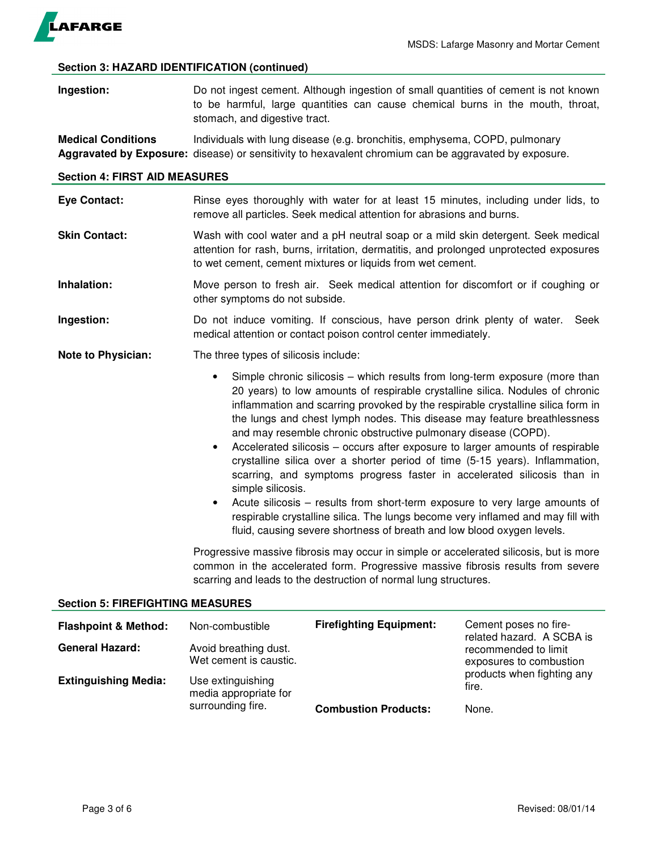

## **Section 3: HAZARD IDENTIFICATION (continued)**

**Ingestion:** Do not ingest cement. Although ingestion of small quantities of cement is not known to be harmful, large quantities can cause chemical burns in the mouth, throat, stomach, and digestive tract.

**Medical Conditions** Individuals with lung disease (e.g. bronchitis, emphysema, COPD, pulmonary **Aggravated by Exposure:** disease) or sensitivity to hexavalent chromium can be aggravated by exposure.

# **Section 4: FIRST AID MEASURES**

| <b>Eye Contact:</b>                     | Rinse eyes thoroughly with water for at least 15 minutes, including under lids, to<br>remove all particles. Seek medical attention for abrasions and burns.                                                                                    |                                                                                                                                                                                                                                                                                                                                                                                                                                                                                                                                                                                                                                                                                                                                                                                                                                                                                       |                                                   |
|-----------------------------------------|------------------------------------------------------------------------------------------------------------------------------------------------------------------------------------------------------------------------------------------------|---------------------------------------------------------------------------------------------------------------------------------------------------------------------------------------------------------------------------------------------------------------------------------------------------------------------------------------------------------------------------------------------------------------------------------------------------------------------------------------------------------------------------------------------------------------------------------------------------------------------------------------------------------------------------------------------------------------------------------------------------------------------------------------------------------------------------------------------------------------------------------------|---------------------------------------------------|
| <b>Skin Contact:</b>                    | Wash with cool water and a pH neutral soap or a mild skin detergent. Seek medical<br>attention for rash, burns, irritation, dermatitis, and prolonged unprotected exposures<br>to wet cement, cement mixtures or liquids from wet cement.      |                                                                                                                                                                                                                                                                                                                                                                                                                                                                                                                                                                                                                                                                                                                                                                                                                                                                                       |                                                   |
| Inhalation:                             | Move person to fresh air. Seek medical attention for discomfort or if coughing or<br>other symptoms do not subside.                                                                                                                            |                                                                                                                                                                                                                                                                                                                                                                                                                                                                                                                                                                                                                                                                                                                                                                                                                                                                                       |                                                   |
| Ingestion:                              | Do not induce vomiting. If conscious, have person drink plenty of water.<br>Seek<br>medical attention or contact poison control center immediately.                                                                                            |                                                                                                                                                                                                                                                                                                                                                                                                                                                                                                                                                                                                                                                                                                                                                                                                                                                                                       |                                                   |
| <b>Note to Physician:</b>               | The three types of silicosis include:                                                                                                                                                                                                          |                                                                                                                                                                                                                                                                                                                                                                                                                                                                                                                                                                                                                                                                                                                                                                                                                                                                                       |                                                   |
|                                         | $\bullet$<br>$\bullet$<br>simple silicosis.<br>$\bullet$                                                                                                                                                                                       | Simple chronic silicosis – which results from long-term exposure (more than<br>20 years) to low amounts of respirable crystalline silica. Nodules of chronic<br>inflammation and scarring provoked by the respirable crystalline silica form in<br>the lungs and chest lymph nodes. This disease may feature breathlessness<br>and may resemble chronic obstructive pulmonary disease (COPD).<br>Accelerated silicosis – occurs after exposure to larger amounts of respirable<br>crystalline silica over a shorter period of time (5-15 years). Inflammation,<br>scarring, and symptoms progress faster in accelerated silicosis than in<br>Acute silicosis – results from short-term exposure to very large amounts of<br>respirable crystalline silica. The lungs become very inflamed and may fill with<br>fluid, causing severe shortness of breath and low blood oxygen levels. |                                                   |
|                                         | Progressive massive fibrosis may occur in simple or accelerated silicosis, but is more<br>common in the accelerated form. Progressive massive fibrosis results from severe<br>scarring and leads to the destruction of normal lung structures. |                                                                                                                                                                                                                                                                                                                                                                                                                                                                                                                                                                                                                                                                                                                                                                                                                                                                                       |                                                   |
| <b>Section 5: FIREFIGHTING MEASURES</b> |                                                                                                                                                                                                                                                |                                                                                                                                                                                                                                                                                                                                                                                                                                                                                                                                                                                                                                                                                                                                                                                                                                                                                       |                                                   |
| <b>Flashpoint &amp; Method:</b>         | Non-combustible                                                                                                                                                                                                                                | <b>Firefighting Equipment:</b>                                                                                                                                                                                                                                                                                                                                                                                                                                                                                                                                                                                                                                                                                                                                                                                                                                                        | Cement poses no fire-<br>rolated hazard A CCDA is |

| <b>Flashpoint &amp; Method:</b> | Non-combustible                                 | <b>Firefighting Equipment:</b> | Cement poses no fire-                                                        |
|---------------------------------|-------------------------------------------------|--------------------------------|------------------------------------------------------------------------------|
| <b>General Hazard:</b>          | Avoid breathing dust.<br>Wet cement is caustic. |                                | related hazard. A SCBA is<br>recommended to limit<br>exposures to combustion |
| <b>Extinguishing Media:</b>     | Use extinguishing<br>media appropriate for      |                                | products when fighting any<br>fire.                                          |
|                                 | surrounding fire.                               | <b>Combustion Products:</b>    | None.                                                                        |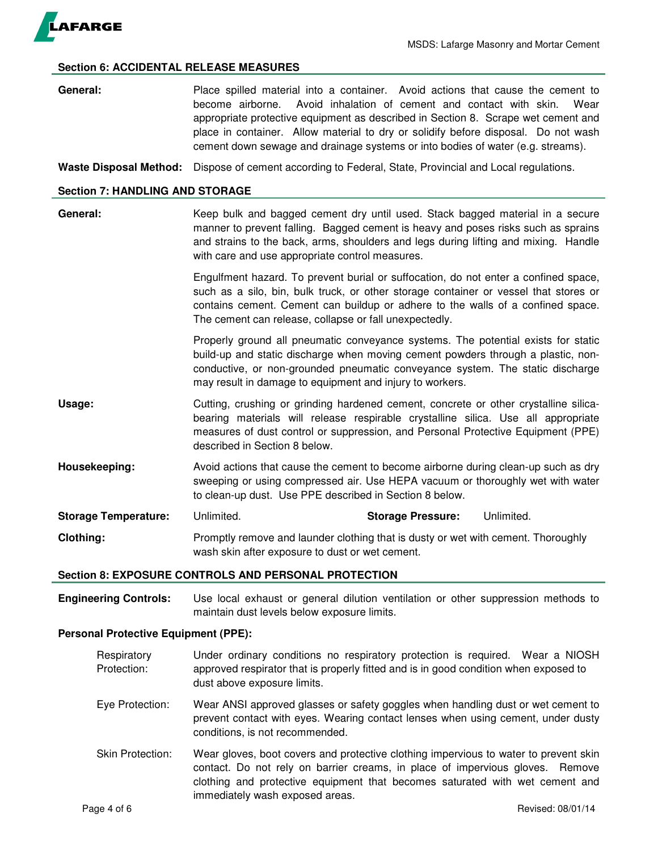

### **Section 6: ACCIDENTAL RELEASE MEASURES**

**General:** Place spilled material into a container. Avoid actions that cause the cement to become airborne. Avoid inhalation of cement and contact with skin. Wear appropriate protective equipment as described in Section 8. Scrape wet cement and place in container. Allow material to dry or solidify before disposal. Do not wash cement down sewage and drainage systems or into bodies of water (e.g. streams).

**Waste Disposal Method:** Dispose of cement according to Federal, State, Provincial and Local regulations.

#### **Section 7: HANDLING AND STORAGE**

General: Keep bulk and bagged cement dry until used. Stack bagged material in a secure manner to prevent falling. Bagged cement is heavy and poses risks such as sprains and strains to the back, arms, shoulders and legs during lifting and mixing. Handle with care and use appropriate control measures.

> Engulfment hazard. To prevent burial or suffocation, do not enter a confined space, such as a silo, bin, bulk truck, or other storage container or vessel that stores or contains cement. Cement can buildup or adhere to the walls of a confined space. The cement can release, collapse or fall unexpectedly.

> Properly ground all pneumatic conveyance systems. The potential exists for static build-up and static discharge when moving cement powders through a plastic, nonconductive, or non-grounded pneumatic conveyance system. The static discharge may result in damage to equipment and injury to workers.

- **Usage:** Cutting, crushing or grinding hardened cement, concrete or other crystalline silicabearing materials will release respirable crystalline silica. Use all appropriate measures of dust control or suppression, and Personal Protective Equipment (PPE) described in Section 8 below.
- **Housekeeping:** Avoid actions that cause the cement to become airborne during clean-up such as dry sweeping or using compressed air. Use HEPA vacuum or thoroughly wet with water to clean-up dust. Use PPE described in Section 8 below.

**Storage Temperature:** Unlimited. **Storage Pressure:** Unlimited. **Clothing:** Promptly remove and launder clothing that is dusty or wet with cement. Thoroughly wash skin after exposure to dust or wet cement.

#### **Section 8: EXPOSURE CONTROLS AND PERSONAL PROTECTION**

**Engineering Controls:** Use local exhaust or general dilution ventilation or other suppression methods to maintain dust levels below exposure limits.

## **Personal Protective Equipment (PPE):**

- Respiratory Under ordinary conditions no respiratory protection is required. Wear a NIOSH Protection: approved respirator that is properly fitted and is in good condition when exposed to dust above exposure limits.
- Eye Protection: Wear ANSI approved glasses or safety goggles when handling dust or wet cement to prevent contact with eyes. Wearing contact lenses when using cement, under dusty conditions, is not recommended.
- Skin Protection: Wear gloves, boot covers and protective clothing impervious to water to prevent skin contact. Do not rely on barrier creams, in place of impervious gloves. Remove clothing and protective equipment that becomes saturated with wet cement and immediately wash exposed areas.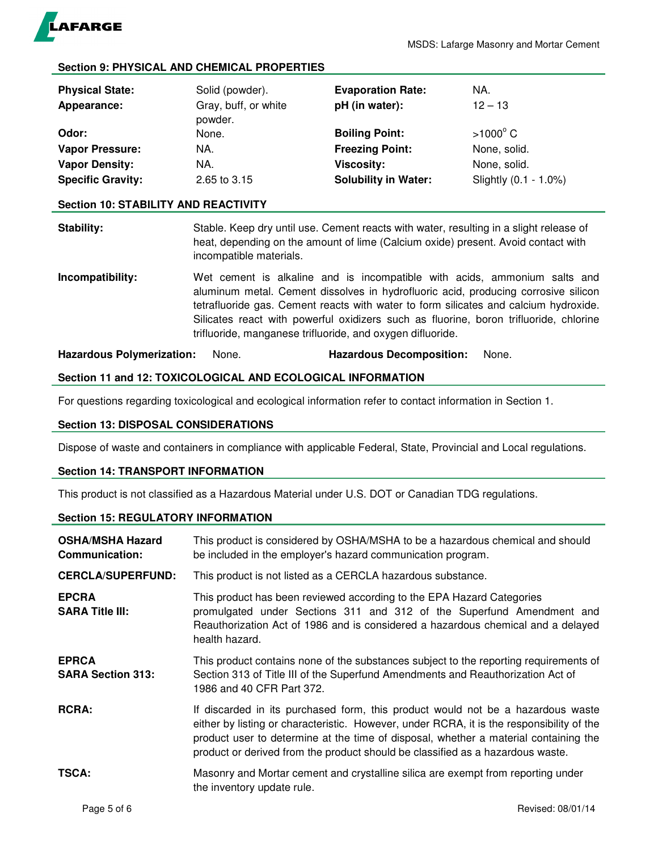

# **Section 9: PHYSICAL AND CHEMICAL PROPERTIES**

| <b>Physical State:</b><br>Appearance: | Solid (powder).<br>Gray, buff, or white<br>powder. | <b>Evaporation Rate:</b><br>pH (in water): | NA.<br>$12 - 13$      |
|---------------------------------------|----------------------------------------------------|--------------------------------------------|-----------------------|
| Odor:                                 | None.                                              | <b>Boiling Point:</b>                      | $>1000^{\circ}$ C     |
| <b>Vapor Pressure:</b>                | NA.                                                | <b>Freezing Point:</b>                     | None, solid.          |
| <b>Vapor Density:</b>                 | NA.                                                | <b>Viscosity:</b>                          | None, solid.          |
| <b>Specific Gravity:</b>              | 2.65 to 3.15                                       | <b>Solubility in Water:</b>                | Slightly (0.1 - 1.0%) |

## **Section 10: STABILITY AND REACTIVITY**

**Stability:** Stable. Keep dry until use. Cement reacts with water, resulting in a slight release of heat, depending on the amount of lime (Calcium oxide) present. Avoid contact with incompatible materials.

**Incompatibility:** Wet cement is alkaline and is incompatible with acids, ammonium salts and aluminum metal. Cement dissolves in hydrofluoric acid, producing corrosive silicon tetrafluoride gas. Cement reacts with water to form silicates and calcium hydroxide. Silicates react with powerful oxidizers such as fluorine, boron trifluoride, chlorine trifluoride, manganese trifluoride, and oxygen difluoride.

**Hazardous Polymerization:** None. **Hazardous Decomposition:** None.

# **Section 11 and 12: TOXICOLOGICAL AND ECOLOGICAL INFORMATION**

For questions regarding toxicological and ecological information refer to contact information in Section 1.

#### **Section 13: DISPOSAL CONSIDERATIONS**

Dispose of waste and containers in compliance with applicable Federal, State, Provincial and Local regulations.

#### **Section 14: TRANSPORT INFORMATION**

This product is not classified as a Hazardous Material under U.S. DOT or Canadian TDG regulations.

## **Section 15: REGULATORY INFORMATION**

| <b>OSHA/MSHA Hazard</b><br><b>Communication:</b> | This product is considered by OSHA/MSHA to be a hazardous chemical and should<br>be included in the employer's hazard communication program.                                                                                                                                                                                                           |
|--------------------------------------------------|--------------------------------------------------------------------------------------------------------------------------------------------------------------------------------------------------------------------------------------------------------------------------------------------------------------------------------------------------------|
| <b>CERCLA/SUPERFUND:</b>                         | This product is not listed as a CERCLA hazardous substance.                                                                                                                                                                                                                                                                                            |
| <b>EPCRA</b><br><b>SARA Title III:</b>           | This product has been reviewed according to the EPA Hazard Categories<br>promulgated under Sections 311 and 312 of the Superfund Amendment and<br>Reauthorization Act of 1986 and is considered a hazardous chemical and a delayed<br>health hazard.                                                                                                   |
| <b>EPRCA</b><br><b>SARA Section 313:</b>         | This product contains none of the substances subject to the reporting requirements of<br>Section 313 of Title III of the Superfund Amendments and Reauthorization Act of<br>1986 and 40 CFR Part 372.                                                                                                                                                  |
| <b>RCRA:</b>                                     | If discarded in its purchased form, this product would not be a hazardous waste<br>either by listing or characteristic. However, under RCRA, it is the responsibility of the<br>product user to determine at the time of disposal, whether a material containing the<br>product or derived from the product should be classified as a hazardous waste. |
| <b>TSCA:</b>                                     | Masonry and Mortar cement and crystalline silica are exempt from reporting under<br>the inventory update rule.                                                                                                                                                                                                                                         |